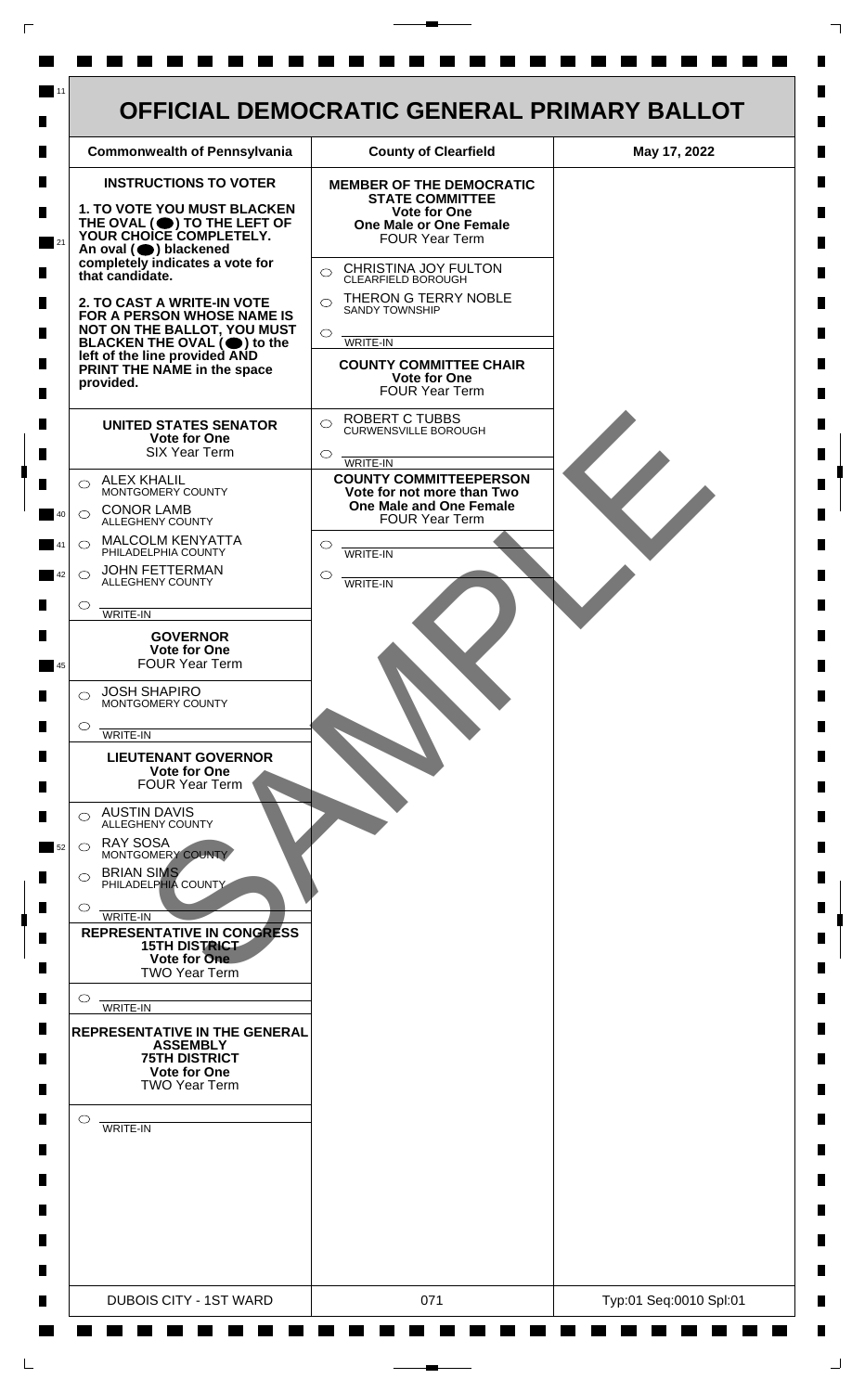

 $\mathsf{L}$